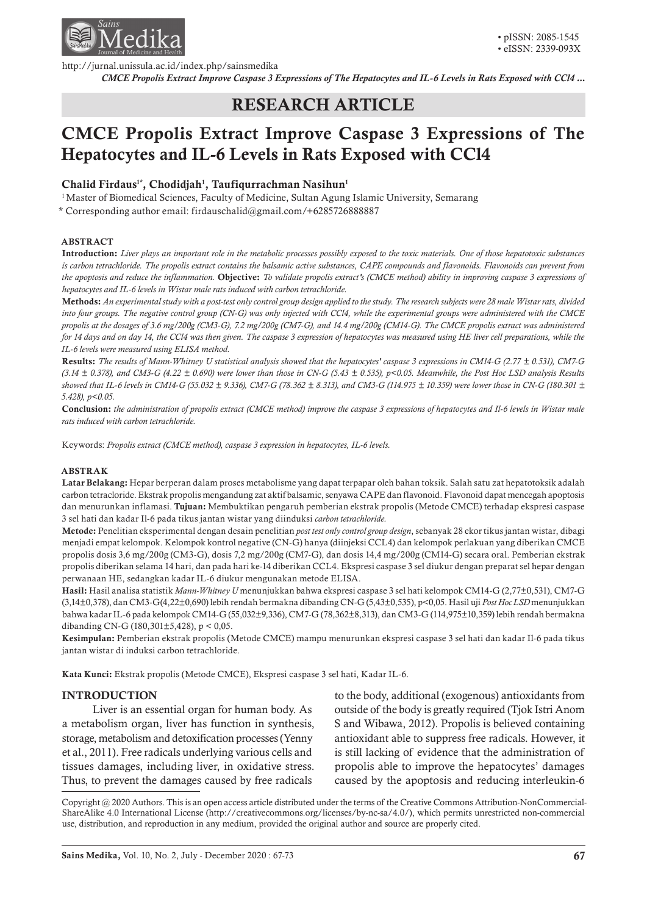

http://jurnal.unissula.ac.id/index.php/sainsmedika

*CMCE Propolis Extract Improve Caspase 3 Expressions of The Hepatocytes and IL-6 Levels in Rats Exposed with CCl4 ...*

# RESEARCH ARTICLE

# CMCE Propolis Extract Improve Caspase 3 Expressions of The Hepatocytes and IL-6 Levels in Rats Exposed with CCl4

# Chalid Firdaus<sup>1\*</sup>, Chodidjah<sup>1</sup>, Taufiqurrachman Nasihun<sup>1</sup>

<sup>1</sup> Master of Biomedical Sciences, Faculty of Medicine, Sultan Agung Islamic University, Semarang

\* Corresponding author email: firdauschalid@gmail.com/+6285726888887

#### ABSTRACT

Introduction: *Liver plays an important role in the metabolic processes possibly exposed to the toxic materials. One of those hepatotoxic substances*  is carbon tetrachloride. The propolis extract contains the balsamic active substances, CAPE compounds and flavonoids. Flavonoids can prevent from *the apoptosis and reduce the inflammation.* Objective: *To validate propolis extract's (CMCE method) ability in improving caspase 3 expressions of hepatocytes and IL-6 levels in Wistar male rats induced with carbon tetrachloride.*

Methods: *An experimental study with a post-test only control group design applied to the study. The research subjects were 28 male Wistar rats, divided into four groups. The negative control group (CN-G) was only injected with CCl4, while the experimental groups were administered with the CMCE propolis at the dosages of 3.6 mg/200g (CM3-G), 7.2 mg/200g (CM7-G), and 14.4 mg/200g (CM14-G). The CMCE propolis extract was administered*  for 14 days and on day 14, the CCl4 was then given. The caspase 3 expression of hepatocytes was measured using HE liver cell preparations, while the *IL-6 levels were measured using ELISA method.*

Results: *The results of Mann-Whitney U statistical analysis showed that the hepatocytes' caspase 3 expressions in CM14-G (2.77 ± 0.531), CM7-G (3.14 ± 0.378), and CM3-G (4.22 ± 0.690) were lower than those in CN-G (5.43 ± 0.535), p<0.05. Meanwhile, the Post Hoc LSD analysis Results showed that IL-6 levels in CM14-G (55.032 ± 9.336), CM7-G (78.362 ± 8.313), and CM3-G (114.975 ± 10.359) were lower those in CN-G (180.301 ± 5.428), p<0.05.*

Conclusion: *the administration of propolis extract (CMCE method) improve the caspase 3 expressions of hepatocytes and Il-6 levels in Wistar male rats induced with carbon tetrachloride.*

Keywords: *Propolis extract (CMCE method), caspase 3 expression in hepatocytes, IL-6 levels.*

#### ABSTRAK

Latar Belakang: Hepar berperan dalam proses metabolisme yang dapat terpapar oleh bahan toksik. Salah satu zat hepatotoksik adalah carbon tetracloride. Ekstrak propolis mengandung zat aktif balsamic, senyawa CAPE dan flavonoid. Flavonoid dapat mencegah apoptosis dan menurunkan inflamasi. Tujuan: Membuktikan pengaruh pemberian ekstrak propolis (Metode CMCE) terhadap ekspresi caspase 3 sel hati dan kadar Il-6 pada tikus jantan wistar yang diinduksi *carbon tetrachloride.*

Metode: Penelitian eksperimental dengan desain penelitian *post test only control group design*, sebanyak 28 ekor tikus jantan wistar, dibagi menjadi empat kelompok. Kelompok kontrol negative (CN-G) hanya (diinjeksi CCL4) dan kelompok perlakuan yang diberikan CMCE propolis dosis 3,6 mg/200g (CM3-G), dosis 7,2 mg/200g (CM7-G), dan dosis 14,4 mg/200g (CM14-G) secara oral. Pemberian ekstrak propolis diberikan selama 14 hari, dan pada hari ke-14 diberikan CCL4. Ekspresi caspase 3 sel diukur dengan preparat sel hepar dengan perwanaan HE, sedangkan kadar IL-6 diukur mengunakan metode ELISA.

Hasil: Hasil analisa statistik *Mann-Whitney U* menunjukkan bahwa ekspresi caspase 3 sel hati kelompok CM14-G (2,77±0,531), CM7-G (3,14±0,378), dan CM3-G(4,22±0,690) lebih rendah bermakna dibanding CN-G (5,43±0,535), p<0,05. Hasil uji *Post Hoc LSD* menunjukkan bahwa kadar IL-6 pada kelompok CM14-G (55,032±9,336), CM7-G (78,362±8,313), dan CM3-G (114,975±10,359) lebih rendah bermakna dibanding CN-G (180,301±5,428), p < 0,05.

Kesimpulan: Pemberian ekstrak propolis (Metode CMCE) mampu menurunkan ekspresi caspase 3 sel hati dan kadar Il-6 pada tikus jantan wistar di induksi carbon tetrachloride.

Kata Kunci: Ekstrak propolis (Metode CMCE), Ekspresi caspase 3 sel hati, Kadar IL-6.

## INTRODUCTION

Liver is an essential organ for human body. As a metabolism organ, liver has function in synthesis, storage, metabolism and detoxification processes (Yenny et al., 2011). Free radicals underlying various cells and tissues damages, including liver, in oxidative stress. Thus, to prevent the damages caused by free radicals

to the body, additional (exogenous) antioxidants from outside of the body is greatly required (Tjok Istri Anom S and Wibawa, 2012). Propolis is believed containing antioxidant able to suppress free radicals. However, it is still lacking of evidence that the administration of propolis able to improve the hepatocytes' damages caused by the apoptosis and reducing interleukin-6

Copyright @ 2020 Authors. This is an open access article distributed under the terms of the Creative Commons Attribution-NonCommercial-ShareAlike 4.0 International License (http://creativecommons.org/licenses/by-nc-sa/4.0/), which permits unrestricted non-commercial use, distribution, and reproduction in any medium, provided the original author and source are properly cited.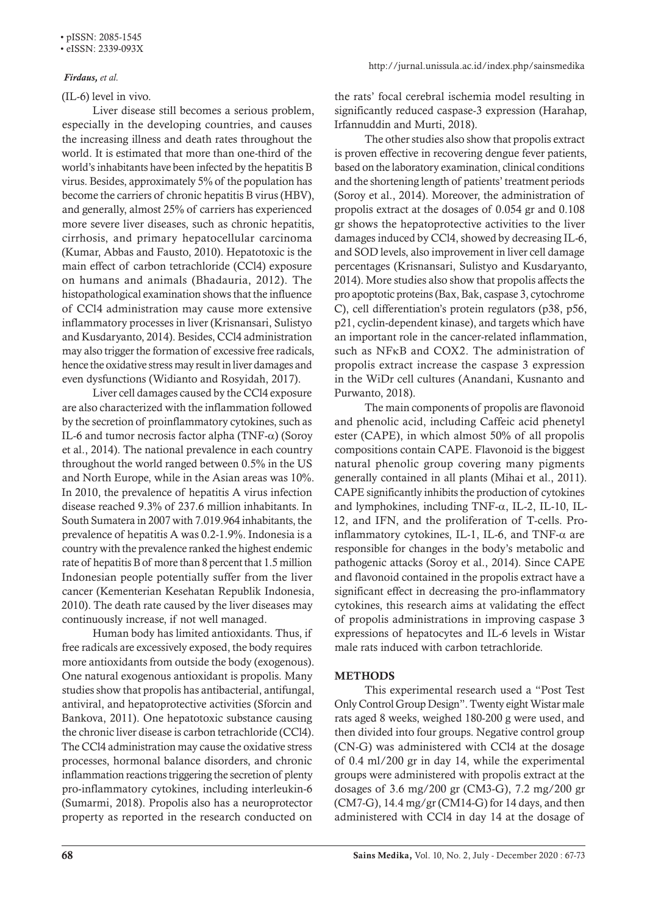#### • eISSN: 2339-093X

## *Firdaus, et al.*

(IL-6) level in vivo.

Liver disease still becomes a serious problem, especially in the developing countries, and causes the increasing illness and death rates throughout the world. It is estimated that more than one-third of the world's inhabitants have been infected by the hepatitis B virus. Besides, approximately 5% of the population has become the carriers of chronic hepatitis B virus (HBV), and generally, almost 25% of carriers has experienced more severe liver diseases, such as chronic hepatitis, cirrhosis, and primary hepatocellular carcinoma (Kumar, Abbas and Fausto, 2010). Hepatotoxic is the main effect of carbon tetrachloride (CCl4) exposure on humans and animals (Bhadauria, 2012). The histopathological examination shows that the influence of CCl4 administration may cause more extensive inflammatory processes in liver (Krisnansari, Sulistyo and Kusdaryanto, 2014). Besides, CCl4 administration may also trigger the formation of excessive free radicals, hence the oxidative stress may result in liver damages and even dysfunctions (Widianto and Rosyidah, 2017).

Liver cell damages caused by the CCl4 exposure are also characterized with the inflammation followed by the secretion of proinflammatory cytokines, such as IL-6 and tumor necrosis factor alpha (TNF- $\alpha$ ) (Soroy et al., 2014). The national prevalence in each country throughout the world ranged between 0.5% in the US and North Europe, while in the Asian areas was 10%. In 2010, the prevalence of hepatitis A virus infection disease reached 9.3% of 237.6 million inhabitants. In South Sumatera in 2007 with 7.019.964 inhabitants, the prevalence of hepatitis A was 0.2-1.9%. Indonesia is a country with the prevalence ranked the highest endemic rate of hepatitis B of more than 8 percent that 1.5 million Indonesian people potentially suffer from the liver cancer (Kementerian Kesehatan Republik Indonesia, 2010). The death rate caused by the liver diseases may continuously increase, if not well managed.

Human body has limited antioxidants. Thus, if free radicals are excessively exposed, the body requires more antioxidants from outside the body (exogenous). One natural exogenous antioxidant is propolis. Many studies show that propolis has antibacterial, antifungal, antiviral, and hepatoprotective activities (Sforcin and Bankova, 2011). One hepatotoxic substance causing the chronic liver disease is carbon tetrachloride (CCl4). The CCl4 administration may cause the oxidative stress processes, hormonal balance disorders, and chronic inflammation reactions triggering the secretion of plenty pro-inflammatory cytokines, including interleukin-6 (Sumarmi, 2018). Propolis also has a neuroprotector property as reported in the research conducted on

the rats' focal cerebral ischemia model resulting in significantly reduced caspase-3 expression (Harahap, Irfannuddin and Murti, 2018).

The other studies also show that propolis extract is proven effective in recovering dengue fever patients, based on the laboratory examination, clinical conditions and the shortening length of patients' treatment periods (Soroy et al., 2014). Moreover, the administration of propolis extract at the dosages of 0.054 gr and 0.108 gr shows the hepatoprotective activities to the liver damages induced by CCl4, showed by decreasing IL-6, and SOD levels, also improvement in liver cell damage percentages (Krisnansari, Sulistyo and Kusdaryanto, 2014). More studies also show that propolis affects the pro apoptotic proteins (Bax, Bak, caspase 3, cytochrome C), cell differentiation's protein regulators (p38, p56, p21, cyclin-dependent kinase), and targets which have an important role in the cancer-related inflammation, such as NFκB and COX2. The administration of propolis extract increase the caspase 3 expression in the WiDr cell cultures (Anandani, Kusnanto and Purwanto, 2018).

The main components of propolis are flavonoid and phenolic acid, including Caffeic acid phenetyl ester (CAPE), in which almost 50% of all propolis compositions contain CAPE. Flavonoid is the biggest natural phenolic group covering many pigments generally contained in all plants (Mihai et al., 2011). CAPE significantly inhibits the production of cytokines and lymphokines, including TNF- $\alpha$ , IL-2, IL-10, IL-12, and IFN, and the proliferation of T-cells. Proinflammatory cytokines, IL-1, IL-6, and TNF- $\alpha$  are responsible for changes in the body's metabolic and pathogenic attacks (Soroy et al., 2014). Since CAPE and flavonoid contained in the propolis extract have a significant effect in decreasing the pro-inflammatory cytokines, this research aims at validating the effect of propolis administrations in improving caspase 3 expressions of hepatocytes and IL-6 levels in Wistar male rats induced with carbon tetrachloride.

# **METHODS**

This experimental research used a "Post Test Only Control Group Design". Twenty eight Wistar male rats aged 8 weeks, weighed 180-200 g were used, and then divided into four groups. Negative control group (CN-G) was administered with CCl4 at the dosage of 0.4 ml/200 gr in day 14, while the experimental groups were administered with propolis extract at the dosages of 3.6 mg/200 gr (CM3-G), 7.2 mg/200 gr (CM7-G), 14.4 mg/gr (CM14-G) for 14 days, and then administered with CCl4 in day 14 at the dosage of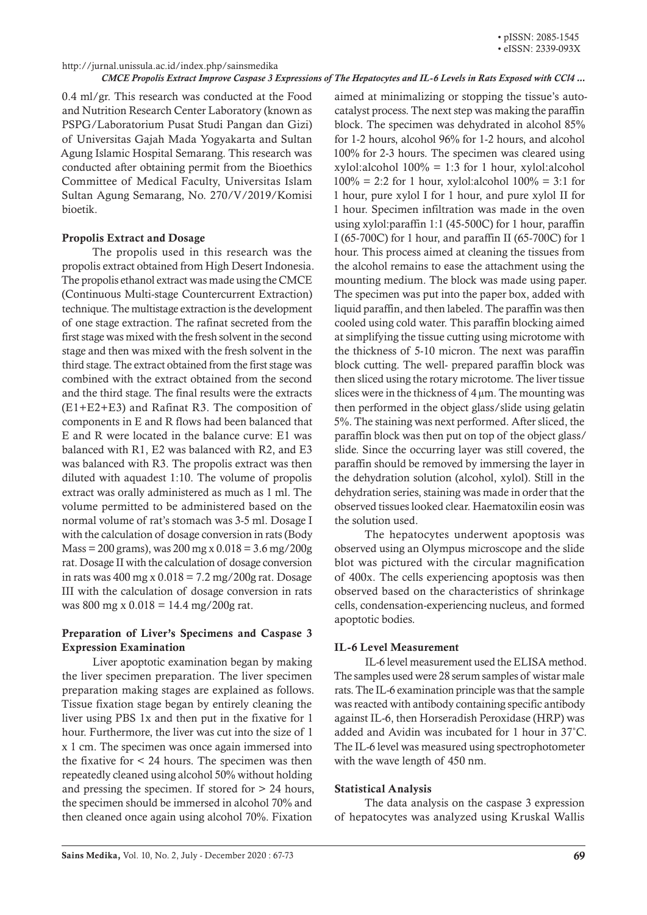#### *CMCE Propolis Extract Improve Caspase 3 Expressions of The Hepatocytes and IL-6 Levels in Rats Exposed with CCl4 ...*

0.4 ml/gr. This research was conducted at the Food and Nutrition Research Center Laboratory (known as PSPG/Laboratorium Pusat Studi Pangan dan Gizi) of Universitas Gajah Mada Yogyakarta and Sultan Agung Islamic Hospital Semarang. This research was conducted after obtaining permit from the Bioethics Committee of Medical Faculty, Universitas Islam Sultan Agung Semarang, No. 270/V/2019/Komisi bioetik.

## Propolis Extract and Dosage

The propolis used in this research was the propolis extract obtained from High Desert Indonesia. The propolis ethanol extract was made using the CMCE (Continuous Multi-stage Countercurrent Extraction) technique. The multistage extraction is the development of one stage extraction. The rafinat secreted from the first stage was mixed with the fresh solvent in the second stage and then was mixed with the fresh solvent in the third stage. The extract obtained from the first stage was combined with the extract obtained from the second and the third stage. The final results were the extracts (E1+E2+E3) and Rafinat R3. The composition of components in E and R flows had been balanced that E and R were located in the balance curve: E1 was balanced with R1, E2 was balanced with R2, and E3 was balanced with R3. The propolis extract was then diluted with aquadest 1:10. The volume of propolis extract was orally administered as much as 1 ml. The volume permitted to be administered based on the normal volume of rat's stomach was 3-5 ml. Dosage I with the calculation of dosage conversion in rats (Body  $Mass = 200$  grams), was  $200$  mg x  $0.018 = 3.6$  mg/ $200$ g rat. Dosage II with the calculation of dosage conversion in rats was  $400 \text{ mg} \times 0.018 = 7.2 \text{ mg} / 200 \text{g}$  rat. Dosage III with the calculation of dosage conversion in rats was 800 mg x 0.018 = 14.4 mg/200g rat.

# Preparation of Liver's Specimens and Caspase 3 Expression Examination

Liver apoptotic examination began by making the liver specimen preparation. The liver specimen preparation making stages are explained as follows. Tissue fixation stage began by entirely cleaning the liver using PBS 1x and then put in the fixative for 1 hour. Furthermore, the liver was cut into the size of 1 x 1 cm. The specimen was once again immersed into the fixative for < 24 hours. The specimen was then repeatedly cleaned using alcohol 50% without holding and pressing the specimen. If stored for > 24 hours, the specimen should be immersed in alcohol 70% and then cleaned once again using alcohol 70%. Fixation

aimed at minimalizing or stopping the tissue's autocatalyst process. The next step was making the paraffin block. The specimen was dehydrated in alcohol 85% for 1-2 hours, alcohol 96% for 1-2 hours, and alcohol 100% for 2-3 hours. The specimen was cleared using xylol:alcohol  $100\% = 1:3$  for 1 hour, xylol:alcohol  $100\% = 2:2$  for 1 hour, xylol:alcohol  $100\% = 3:1$  for 1 hour, pure xylol I for 1 hour, and pure xylol II for 1 hour. Specimen infiltration was made in the oven using xylol:paraffin 1:1 (45-500C) for 1 hour, paraffin I (65-700C) for 1 hour, and paraffin II (65-700C) for 1 hour. This process aimed at cleaning the tissues from the alcohol remains to ease the attachment using the mounting medium. The block was made using paper. The specimen was put into the paper box, added with liquid paraffin, and then labeled. The paraffin was then cooled using cold water. This paraffin blocking aimed at simplifying the tissue cutting using microtome with the thickness of 5-10 micron. The next was paraffin block cutting. The well- prepared paraffin block was then sliced using the rotary microtome. The liver tissue slices were in the thickness of  $4 \mu m$ . The mounting was then performed in the object glass/slide using gelatin 5%. The staining was next performed. After sliced, the paraffin block was then put on top of the object glass/ slide. Since the occurring layer was still covered, the paraffin should be removed by immersing the layer in the dehydration solution (alcohol, xylol). Still in the dehydration series, staining was made in order that the observed tissues looked clear. Haematoxilin eosin was the solution used.

The hepatocytes underwent apoptosis was observed using an Olympus microscope and the slide blot was pictured with the circular magnification of 400x. The cells experiencing apoptosis was then observed based on the characteristics of shrinkage cells, condensation-experiencing nucleus, and formed apoptotic bodies.

# IL-6 Level Measurement

IL-6 level measurement used the ELISA method. The samples used were 28 serum samples of wistar male rats. The IL-6 examination principle was that the sample was reacted with antibody containing specific antibody against IL-6, then Horseradish Peroxidase (HRP) was added and Avidin was incubated for 1 hour in 37˚C. The IL-6 level was measured using spectrophotometer with the wave length of 450 nm.

#### Statistical Analysis

The data analysis on the caspase 3 expression of hepatocytes was analyzed using Kruskal Wallis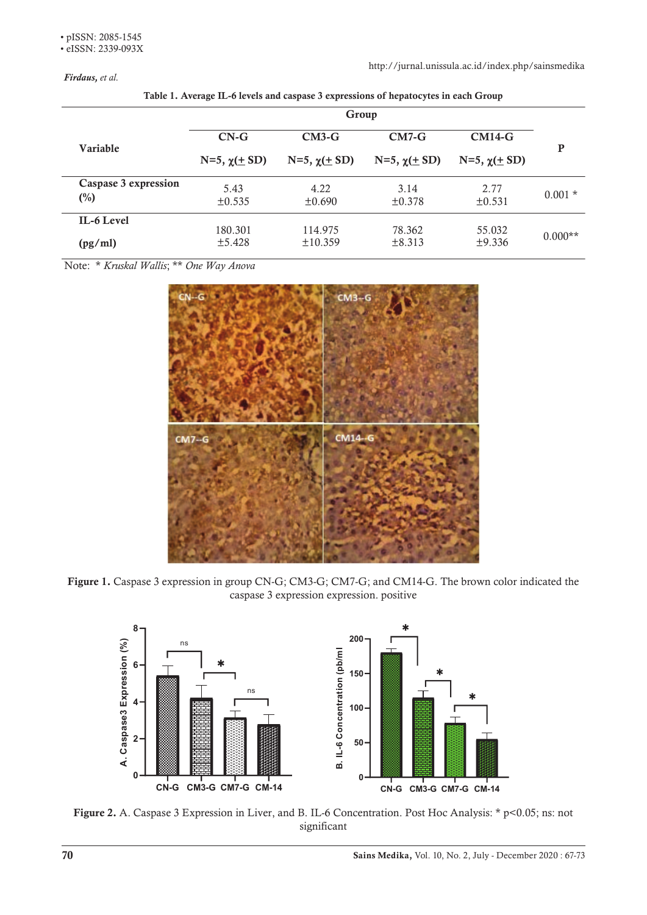*Firdaus, et al.*

http://jurnal.unissula.ac.id/index.php/sainsmedika

|                | Group                            |                                |                                |                                    |           |
|----------------|----------------------------------|--------------------------------|--------------------------------|------------------------------------|-----------|
| Variable       | $CN-G$<br>$N=5$ , $\chi(\pm SD)$ | $CM3-G$<br>N=5, $\chi(\pm SD)$ | $CM7-G$<br>N=5, $\chi(\pm SD)$ | $CM14-G$<br>$N=5$ , $\chi(\pm SD)$ | P         |
|                |                                  |                                |                                |                                    |           |
| $\binom{0}{0}$ | $\pm 0.535$                      | ±0.690                         | ±0.378                         | $\pm 0.531$                        |           |
| IL-6 Level     | 180.301                          | 114.975                        | 78.362                         | 55.032                             | $0.000**$ |
| (pg/ml)        | ±5.428                           | ±10.359                        | $\pm 8.313$                    | ±9.336                             |           |

Table 1. Average IL-6 levels and caspase 3 expressions of hepatocytes in each Group

Note: \* *Kruskal Wallis*; \*\* *One Way Anova*



**Figure 1.** Caspase 3 expression in group CN-G; CM3-G; CM7-G; and CM14-G. The brown color indicated the caspase 3 expression expression. positive



Figure 2. A. Caspase 3 Expression in Liver, and B. IL-6 Concentration. Post Hoc Analysis: \* p<0.05; ns: not significant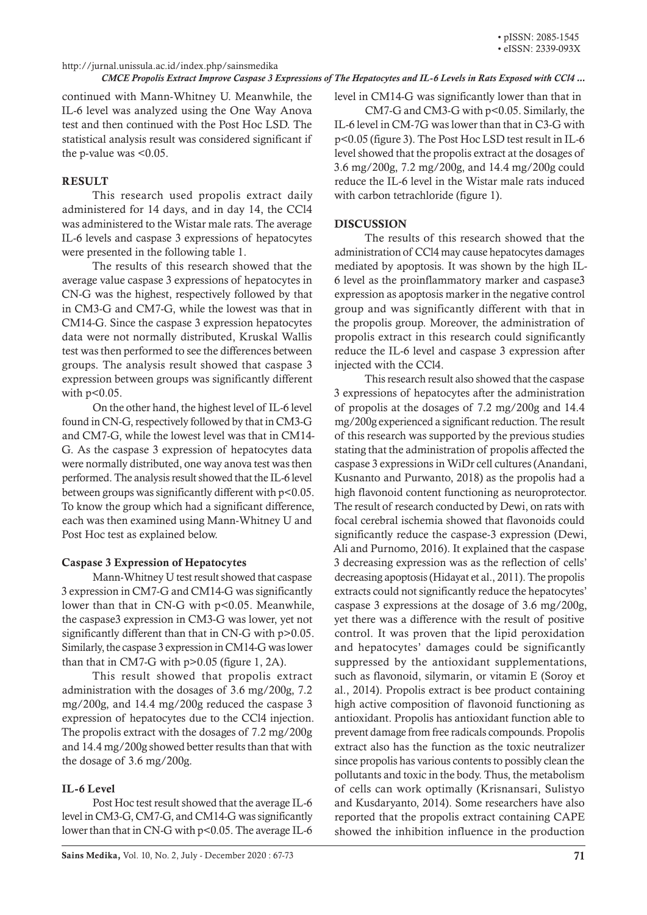#### http://jurnal.unissula.ac.id/index.php/sainsmedika

#### *CMCE Propolis Extract Improve Caspase 3 Expressions of The Hepatocytes and IL-6 Levels in Rats Exposed with CCl4 ...*

continued with Mann-Whitney U. Meanwhile, the IL-6 level was analyzed using the One Way Anova test and then continued with the Post Hoc LSD. The statistical analysis result was considered significant if the p-value was <0.05.

#### **RESULT**

This research used propolis extract daily administered for 14 days, and in day 14, the CCl4 was administered to the Wistar male rats. The average IL-6 levels and caspase 3 expressions of hepatocytes were presented in the following table 1.

The results of this research showed that the average value caspase 3 expressions of hepatocytes in CN-G was the highest, respectively followed by that in CM3-G and CM7-G, while the lowest was that in CM14-G. Since the caspase 3 expression hepatocytes data were not normally distributed, Kruskal Wallis test was then performed to see the differences between groups. The analysis result showed that caspase 3 expression between groups was significantly different with  $p<0.05$ .

On the other hand, the highest level of IL-6 level found in CN-G, respectively followed by that in CM3-G and CM7-G, while the lowest level was that in CM14- G. As the caspase 3 expression of hepatocytes data were normally distributed, one way anova test was then performed. The analysis result showed that the IL-6 level between groups was significantly different with p<0.05. To know the group which had a significant difference, each was then examined using Mann-Whitney U and Post Hoc test as explained below.

#### Caspase 3 Expression of Hepatocytes

Mann-Whitney U test result showed that caspase 3 expression in CM7-G and CM14-G was significantly lower than that in CN-G with p<0.05. Meanwhile, the caspase3 expression in CM3-G was lower, yet not significantly different than that in CN-G with  $p>0.05$ . Similarly, the caspase 3 expression in CM14-G was lower than that in CM7-G with p>0.05 (figure 1, 2A).

This result showed that propolis extract administration with the dosages of 3.6 mg/200g, 7.2 mg/200g, and 14.4 mg/200g reduced the caspase 3 expression of hepatocytes due to the CCl4 injection. The propolis extract with the dosages of 7.2 mg/200g and 14.4 mg/200g showed better results than that with the dosage of 3.6 mg/200g.

## IL-6 Level

Post Hoc test result showed that the average IL-6 level in CM3-G, CM7-G, and CM14-G was significantly lower than that in CN-G with p<0.05. The average IL-6 level in CM14-G was significantly lower than that in CM7-G and CM3-G with p<0.05. Similarly, the IL-6 level in CM-7G was lower than that in C3-G with p<0.05 (figure 3). The Post Hoc LSD test result in IL-6 level showed that the propolis extract at the dosages of 3.6 mg/200g, 7.2 mg/200g, and 14.4 mg/200g could reduce the IL-6 level in the Wistar male rats induced with carbon tetrachloride (figure 1).

#### **DISCUSSION**

The results of this research showed that the administration of CCl4 may cause hepatocytes damages mediated by apoptosis. It was shown by the high IL-6 level as the proinflammatory marker and caspase3 expression as apoptosis marker in the negative control group and was significantly different with that in the propolis group. Moreover, the administration of propolis extract in this research could significantly reduce the IL-6 level and caspase 3 expression after injected with the CCl4.

This research result also showed that the caspase 3 expressions of hepatocytes after the administration of propolis at the dosages of 7.2 mg/200g and 14.4 mg/200g experienced a significant reduction. The result of this research was supported by the previous studies stating that the administration of propolis affected the caspase 3 expressions in WiDr cell cultures (Anandani, Kusnanto and Purwanto, 2018) as the propolis had a high flavonoid content functioning as neuroprotector. The result of research conducted by Dewi, on rats with focal cerebral ischemia showed that flavonoids could significantly reduce the caspase-3 expression (Dewi, Ali and Purnomo, 2016). It explained that the caspase 3 decreasing expression was as the reflection of cells' decreasing apoptosis (Hidayat et al., 2011). The propolis extracts could not significantly reduce the hepatocytes' caspase 3 expressions at the dosage of 3.6 mg/200g, yet there was a difference with the result of positive control. It was proven that the lipid peroxidation and hepatocytes' damages could be significantly suppressed by the antioxidant supplementations, such as flavonoid, silymarin, or vitamin E (Soroy et al., 2014). Propolis extract is bee product containing high active composition of flavonoid functioning as antioxidant. Propolis has antioxidant function able to prevent damage from free radicals compounds. Propolis extract also has the function as the toxic neutralizer since propolis has various contents to possibly clean the pollutants and toxic in the body. Thus, the metabolism of cells can work optimally (Krisnansari, Sulistyo and Kusdaryanto, 2014). Some researchers have also reported that the propolis extract containing CAPE showed the inhibition influence in the production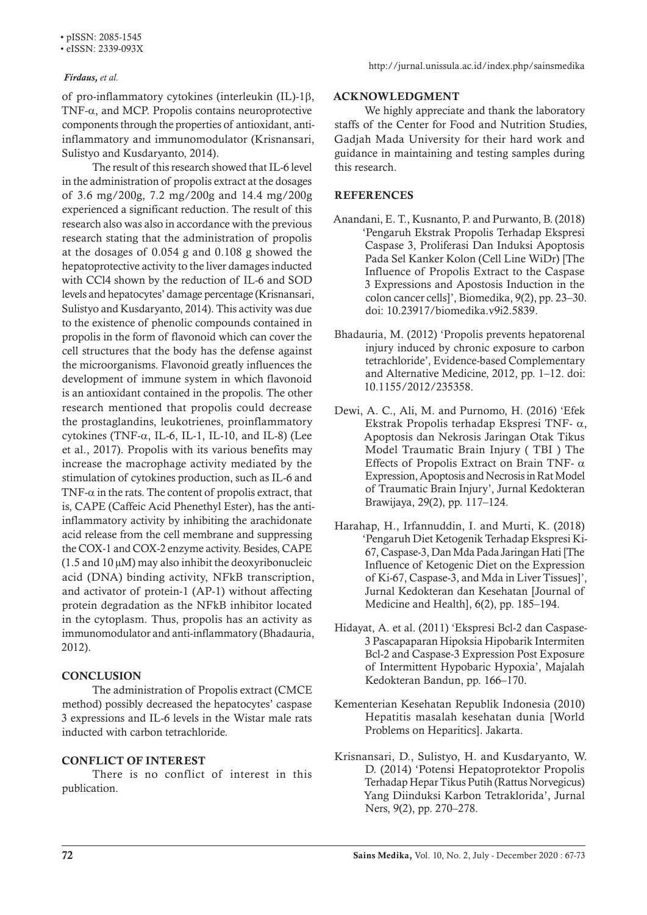• pISSN: 2085-1545

• eISSN: 2339-093X

#### *Firdaus, et al.*

of pro-inflammatory cytokines (interleukin (IL)-1β, TNF-α, and MCP. Propolis contains neuroprotective components through the properties of antioxidant, antiinflammatory and immunomodulator (Krisnansari, Sulistyo and Kusdaryanto, 2014).

The result of this research showed that IL-6 level in the administration of propolis extract at the dosages of 3.6 mg/200g, 7.2 mg/200g and 14.4 mg/200g experienced a significant reduction. The result of this research also was also in accordance with the previous research stating that the administration of propolis at the dosages of 0.054 g and 0.108 g showed the hepatoprotective activity to the liver damages inducted with CCl4 shown by the reduction of IL-6 and SOD levels and hepatocytes' damage percentage (Krisnansari, Sulistyo and Kusdaryanto, 2014). This activity was due to the existence of phenolic compounds contained in propolis in the form of flavonoid which can cover the cell structures that the body has the defense against the microorganisms. Flavonoid greatly influences the development of immune system in which flavonoid is an antioxidant contained in the propolis. The other research mentioned that propolis could decrease the prostaglandins, leukotrienes, proinflammatory cytokines (TNF-α, IL-6, IL-1, IL-10, and IL-8) (Lee et al., 2017). Propolis with its various benefits may increase the macrophage activity mediated by the stimulation of cytokines production, such as IL-6 and TNF- $\alpha$  in the rats. The content of propolis extract, that is, CAPE (Caffeic Acid Phenethyl Ester), has the antiinflammatory activity by inhibiting the arachidonate acid release from the cell membrane and suppressing the COX-1 and COX-2 enzyme activity. Besides, CAPE  $(1.5 \text{ and } 10 \mu M)$  may also inhibit the deoxyribonucleic acid (DNA) binding activity, NFkB transcription, and activator of protein-1 (AP-1) without affecting protein degradation as the NFkB inhibitor located in the cytoplasm. Thus, propolis has an activity as immunomodulator and anti-inflammatory (Bhadauria, 2012).

# **CONCLUSION**

The administration of Propolis extract (CMCE method) possibly decreased the hepatocytes' caspase 3 expressions and IL-6 levels in the Wistar male rats inducted with carbon tetrachloride.

## CONFLICT OF INTEREST

There is no conflict of interest in this publication.

#### ACKNOWLEDGMENT

We highly appreciate and thank the laboratory staffs of the Center for Food and Nutrition Studies, Gadjah Mada University for their hard work and guidance in maintaining and testing samples during this research.

# **REFERENCES**

- Anandani, E. T., Kusnanto, P. and Purwanto, B. (2018) 'Pengaruh Ekstrak Propolis Terhadap Ekspresi Caspase 3, Proliferasi Dan Induksi Apoptosis Pada Sel Kanker Kolon (Cell Line WiDr) [The Influence of Propolis Extract to the Caspase 3 Expressions and Apostosis Induction in the colon cancer cells]', Biomedika, 9(2), pp. 23–30. doi: 10.23917/biomedika.v9i2.5839.
- Bhadauria, M. (2012) 'Propolis prevents hepatorenal injury induced by chronic exposure to carbon tetrachloride', Evidence-based Complementary and Alternative Medicine, 2012, pp. 1–12. doi: 10.1155/2012/235358.
- Dewi, A. C., Ali, M. and Purnomo, H. (2016) 'Efek Ekstrak Propolis terhadap Ekspresi TNF- α, Apoptosis dan Nekrosis Jaringan Otak Tikus Model Traumatic Brain Injury ( TBI ) The Effects of Propolis Extract on Brain TNF-  $\alpha$ Expression, Apoptosis and Necrosis in Rat Model of Traumatic Brain Injury', Jurnal Kedokteran Brawijaya, 29(2), pp. 117–124.
- Harahap, H., Irfannuddin, I. and Murti, K. (2018) 'Pengaruh Diet Ketogenik Terhadap Ekspresi Ki-67, Caspase-3, Dan Mda Pada Jaringan Hati [The Influence of Ketogenic Diet on the Expression of Ki-67, Caspase-3, and Mda in Liver Tissues]', Jurnal Kedokteran dan Kesehatan [Journal of Medicine and Health], 6(2), pp. 185–194.
- Hidayat, A. et al. (2011) 'Ekspresi Bcl-2 dan Caspase-3 Pascapaparan Hipoksia Hipobarik Intermiten Bcl-2 and Caspase-3 Expression Post Exposure of Intermittent Hypobaric Hypoxia', Majalah Kedokteran Bandun, pp. 166–170.
- Kementerian Kesehatan Republik Indonesia (2010) Hepatitis masalah kesehatan dunia [World Problems on Heparitics]. Jakarta.
- Krisnansari, D., Sulistyo, H. and Kusdaryanto, W. D. (2014) 'Potensi Hepatoprotektor Propolis Terhadap Hepar Tikus Putih (Rattus Norvegicus) Yang Diinduksi Karbon Tetraklorida', Jurnal Ners, 9(2), pp. 270–278.